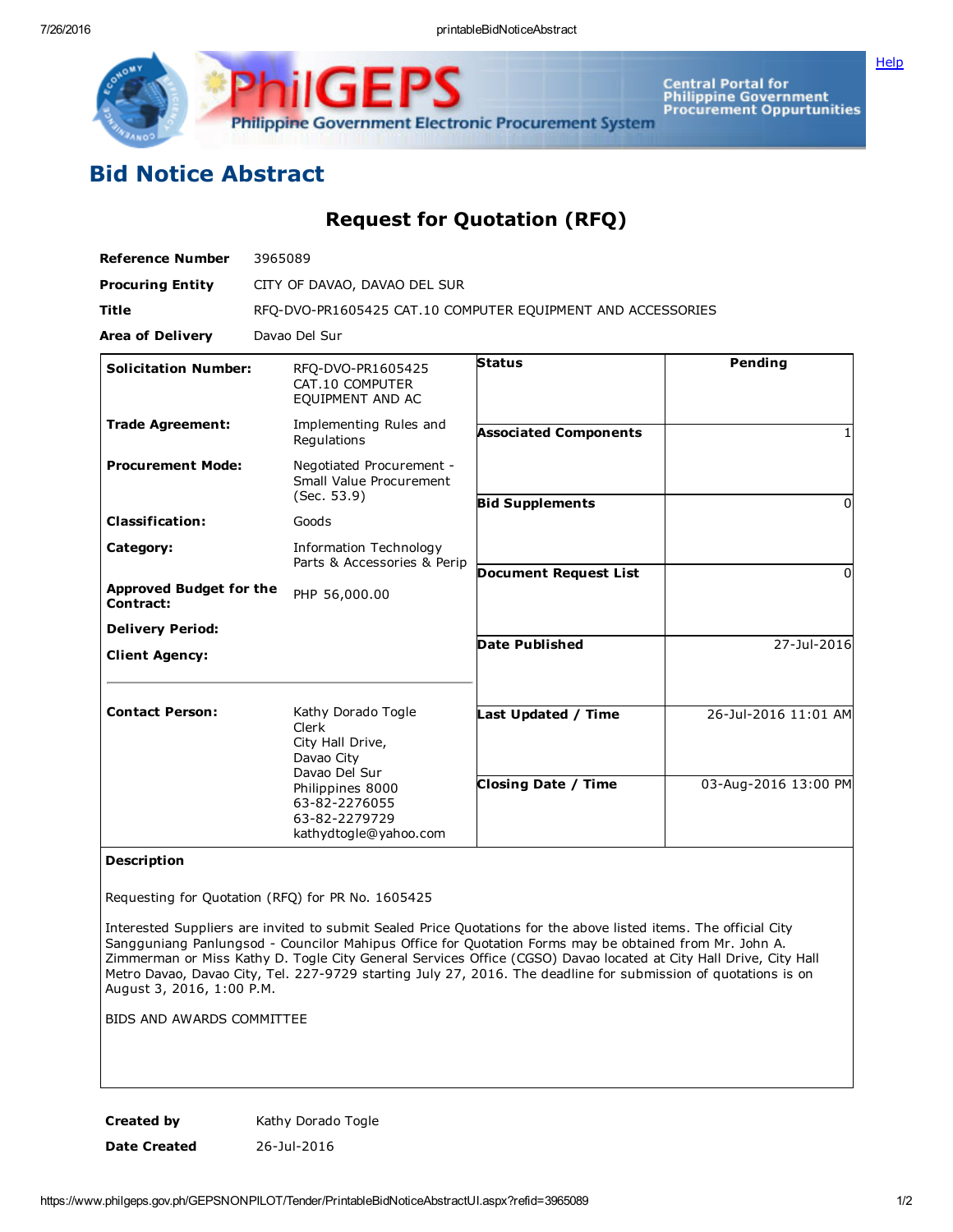Central Portal for<br>Philippine Government<br>Procurement Oppurtunities Philippine Government Electronic Procurement System

## Bid Notice Abstract

Request for Quotation (RFQ)

| <b>Reference Number</b>                     | 3965089                                                                                                                                                       |                              |                      |
|---------------------------------------------|---------------------------------------------------------------------------------------------------------------------------------------------------------------|------------------------------|----------------------|
| <b>Procuring Entity</b>                     | CITY OF DAVAO, DAVAO DEL SUR                                                                                                                                  |                              |                      |
| <b>Title</b>                                | RFQ-DVO-PR1605425 CAT.10 COMPUTER EQUIPMENT AND ACCESSORIES                                                                                                   |                              |                      |
| <b>Area of Delivery</b>                     | Davao Del Sur                                                                                                                                                 |                              |                      |
| <b>Solicitation Number:</b>                 | RFQ-DVO-PR1605425<br>CAT.10 COMPUTER<br>EQUIPMENT AND AC                                                                                                      | <b>Status</b>                | Pending              |
| <b>Trade Agreement:</b>                     | Implementing Rules and<br>Regulations                                                                                                                         | <b>Associated Components</b> |                      |
| <b>Procurement Mode:</b>                    | Negotiated Procurement -<br>Small Value Procurement<br>(Sec. 53.9)                                                                                            |                              |                      |
| <b>Classification:</b>                      | Goods                                                                                                                                                         | <b>Bid Supplements</b>       | 0                    |
| Category:                                   | Information Technology<br>Parts & Accessories & Perip                                                                                                         |                              |                      |
| <b>Approved Budget for the</b><br>Contract: | PHP 56,000.00                                                                                                                                                 | <b>Document Request List</b> | <sup>0</sup>         |
| <b>Delivery Period:</b>                     |                                                                                                                                                               |                              |                      |
| <b>Client Agency:</b>                       |                                                                                                                                                               | <b>Date Published</b>        | 27-Jul-2016          |
| <b>Contact Person:</b>                      | Kathy Dorado Togle<br>Clerk<br>City Hall Drive,<br>Davao City<br>Davao Del Sur<br>Philippines 8000<br>63-82-2276055<br>63-82-2279729<br>kathydtogle@yahoo.com | Last Updated / Time          | 26-Jul-2016 11:01 AM |
|                                             |                                                                                                                                                               | <b>Closing Date / Time</b>   | 03-Aug-2016 13:00 PM |

## Description

Requesting for Quotation (RFQ) for PR No. 1605425

Interested Suppliers are invited to submit Sealed Price Quotations for the above listed items. The official City Sangguniang Panlungsod - Councilor Mahipus Office for Quotation Forms may be obtained from Mr. John A. Zimmerman or Miss Kathy D. Togle City General Services Office (CGSO) Davao located at City Hall Drive, City Hall Metro Davao, Davao City, Tel. 227-9729 starting July 27, 2016. The deadline for submission of quotations is on August 3, 2016, 1:00 P.M.

BIDS AND AWARDS COMMITTEE

Created by **Kathy Dorado Togle** Date Created 26-Jul-2016